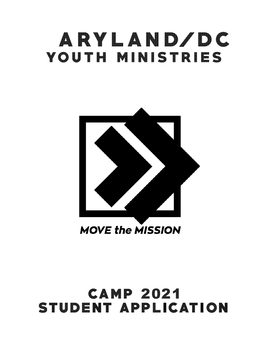# **MARYLAND/DC**  YOUTH MINISTRIES



# **CAMP 2021 STUDENT APPLICATION**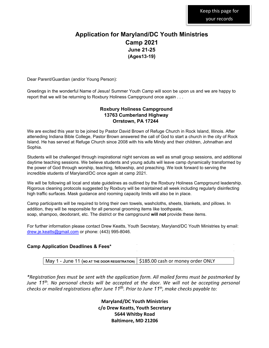# **Application for Maryland/DC Youth Ministries Camp 2021 June 21-25 (Ages13-19)**

Dear Parent/Guardian (and/or Young Person):

Greetings in the wonderful Name of Jesus! Summer Youth Camp will soon be upon us and we are happy to report that we will be returning to Roxbury Holiness Campground once again . . .

#### **Roxbury Holiness Campground 13763 Cumberland Highway Orrstown, PA 17244**

We are excited this year to be joined by Pastor David Brown of Refuge Church in Rock Island, Illinois. After atteneding Indiana Bible College, Pastor Brown answered the call of God to start a church in the city of Rock Island. He has served at Refuge Church since 2008 with his wife Mindy and their children, Johnathan and Sophia.

Students will be challenged through inspirational night services as well as small group sessions, and additional daytime teaching sessions. We believe students and young adults will leave camp dynamically transformed by the power of God through worship, teaching, fellowship, and preaching. We look forward to serving the incredible students of Maryland/DC once again at camp 2021.

We will be following all local and state guidelines as outlined by the Roxbury Holiness Campground leadership. Rigorous cleaning protocols suggested by Roxbury will be maintained all week including regularly disinfecting high traffic surfaces. Mask guidance and rooming capacity limits will also be in place.

Camp participants will be required to bring their own towels, washcloths, sheets, blankets, and pillows. In addition, they will be responsible for all personal grooming items like toothpaste, soap, shampoo, deodorant, etc. The district or the campground **will not** provide these items.

For further information please contact Drew Keatts, Youth Secretary, Maryland/DC Youth Ministries by email: drew.je.keatts@gmail.com or phone: (443) 995-8046.

#### **Camp Application Deadlines & Fees\***

May 1 - June 11 (NO AT THE DOOR REGISTRATION) | \$185.00 cash or money order ONLY

*\*Registration fees must be sent with the application form. All mailed forms must be postmarked by June* 11<sup>th</sup>. No personal checks will be accepted at the door. We will not be accepting personal *checks* or mailed registrations after June 11<sup>th</sup>. Prior to June 11<sup>th</sup>, make checks payable to:

> **Maryland/DC Youth Ministries c/o Drew Keatts, Youth Secretary 5644 Whitby Road**  Baltimore, MD 21206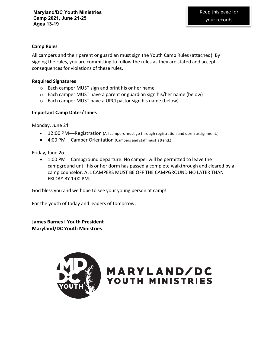#### **Camp Rules**

All campers and their parent or guardian must sign the Youth Camp Rules (attached). By signing the rules, you are committing to follow the rules as they are stated and accept consequences for violations of these rules.

#### **Required Signatures**

- $\circ$  Each camper MUST sign and print his or her name
- $\circ$  Each camper MUST have a parent or guardian sign his/her name (below)
- $\circ$  Each camper MUST have a UPCI pastor sign his name (below)

#### **Important Camp Dates/Times**

Monday, June 21

- 12:00 PM—Registration (All campers must go through registration and dorm assignment.)
- 4:00 PM—Camper Orientation (Campers and staff must attend.)

Friday, June 25

• 1:00 PM—Campground departure. No camper will be permitted to leave the campground until his or her dorm has passed a complete walkthrough and cleared by a camp counselor. ALL CAMPERS MUST BE OFF THE CAMPGROUND NO LATER THAN FRIDAY BY 1:00 PM.

God bless you and we hope to see your young person at camp!

For the youth of today and leaders of tomorrow,

**James Barnes I Youth President Maryland/DC Youth Ministries**



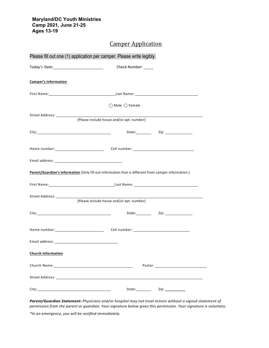#### **Maryland/DC Youth Ministries Camp 2021, June 21-25 Ages 13-19**

### **Camper Application**

| Please fill out one (1) application per camper. Please write legibly.                                                                                                                                                          |                                                                                                                                                                                                                                          |  |
|--------------------------------------------------------------------------------------------------------------------------------------------------------------------------------------------------------------------------------|------------------------------------------------------------------------------------------------------------------------------------------------------------------------------------------------------------------------------------------|--|
|                                                                                                                                                                                                                                | Check Number: _____                                                                                                                                                                                                                      |  |
| <b>Camper's Information</b>                                                                                                                                                                                                    |                                                                                                                                                                                                                                          |  |
|                                                                                                                                                                                                                                |                                                                                                                                                                                                                                          |  |
|                                                                                                                                                                                                                                | $\bigcap$ Male $\bigcap$ Female                                                                                                                                                                                                          |  |
|                                                                                                                                                                                                                                | (Please include house and/or apt. number)                                                                                                                                                                                                |  |
|                                                                                                                                                                                                                                |                                                                                                                                                                                                                                          |  |
|                                                                                                                                                                                                                                | Home number: __________________________________Cell number: _____________________                                                                                                                                                        |  |
|                                                                                                                                                                                                                                |                                                                                                                                                                                                                                          |  |
|                                                                                                                                                                                                                                | Parent/Guardian's Information (Only fill out information that is different from camper information.)                                                                                                                                     |  |
|                                                                                                                                                                                                                                |                                                                                                                                                                                                                                          |  |
|                                                                                                                                                                                                                                | (Please include house and/or apt. number)                                                                                                                                                                                                |  |
|                                                                                                                                                                                                                                | State: <b>Zip: Zip:</b>                                                                                                                                                                                                                  |  |
|                                                                                                                                                                                                                                |                                                                                                                                                                                                                                          |  |
|                                                                                                                                                                                                                                |                                                                                                                                                                                                                                          |  |
| <b>Church Information</b>                                                                                                                                                                                                      |                                                                                                                                                                                                                                          |  |
| Church Name: The contract of the contract of the contract of the contract of the contract of the contract of the contract of the contract of the contract of the contract of the contract of the contract of the contract of t | Pastor: and the contract of the contract of the contract of the contract of the contract of the contract of the contract of the contract of the contract of the contract of the contract of the contract of the contract of th           |  |
|                                                                                                                                                                                                                                |                                                                                                                                                                                                                                          |  |
|                                                                                                                                                                                                                                | State:<br>Zip: the contract of the contract of the contract of the contract of the contract of the contract of the contract of the contract of the contract of the contract of the contract of the contract of the contract of the contr |  |

Parent/Guardian Statement: Physicians and/or hospital may not treat minors without a signed statement of permission from the parent or guardian. Your signature below gives this permission. Your signature is voluntary.

*\*In an emergency, you will be notified immediately.*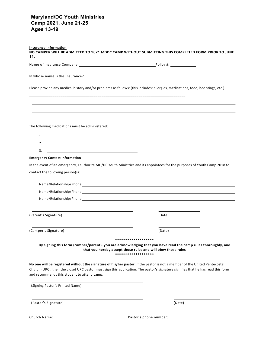#### **Maryland/DC Youth Ministries Camp 2021, June 21-25 Ages 13-19**

| <b>Insurance Information</b><br>NO CAMPER WILL BE ADMITTED TO 2021 MDDC CAMP WITHOUT SUBMITTING THIS COMPLETED FORM PRIOR TO JUNE<br>11.                                                                                                                                                                      |        |
|---------------------------------------------------------------------------------------------------------------------------------------------------------------------------------------------------------------------------------------------------------------------------------------------------------------|--------|
| Name of Insurance Company: 1992. The Company of the Company of the Company of the Company of the Company of the Company of the Company of the Company of the Company of the Company of the Company of the Company of the Compa                                                                                |        |
|                                                                                                                                                                                                                                                                                                               |        |
| Please provide any medical history and/or problems as follows: (this includes: allergies, medications, food, bee stings, etc.)                                                                                                                                                                                |        |
|                                                                                                                                                                                                                                                                                                               |        |
|                                                                                                                                                                                                                                                                                                               |        |
| The following medications must be administered:                                                                                                                                                                                                                                                               |        |
| 1.                                                                                                                                                                                                                                                                                                            |        |
| 2.                                                                                                                                                                                                                                                                                                            |        |
| 3.                                                                                                                                                                                                                                                                                                            |        |
| <b>Emergency Contact Information</b>                                                                                                                                                                                                                                                                          |        |
| In the event of an emergency, I authorize MD/DC Youth Ministries and its appointees for the purposes of Youth Camp 2018 to                                                                                                                                                                                    |        |
| contact the following person(s):                                                                                                                                                                                                                                                                              |        |
|                                                                                                                                                                                                                                                                                                               |        |
|                                                                                                                                                                                                                                                                                                               |        |
|                                                                                                                                                                                                                                                                                                               |        |
| Name/Relationship/Phone example and the state of the state of the state of the state of the state of the state of the state of the state of the state of the state of the state of the state of the state of the state of the                                                                                 |        |
| (Parent's Signature)                                                                                                                                                                                                                                                                                          | (Date) |
| (Camper's Signature)                                                                                                                                                                                                                                                                                          | (Date) |
| *******************                                                                                                                                                                                                                                                                                           |        |
| By signing this form (camper/parent), you are acknowledging that you have read the camp rules thoroughly, and<br>that you hereby accept those rules and will obey those rules<br>*******************                                                                                                          |        |
| No one will be registered without the signature of his/her pastor. If the pastor is not a member of the United Pentecostal<br>Church (UPC), then the closet UPC pastor must sign this application. The pastor's signature signifies that he has read this form<br>and recommends this student to attend camp. |        |
| (Signing Pastor's Printed Name)                                                                                                                                                                                                                                                                               |        |
| (Pastor's Signature)                                                                                                                                                                                                                                                                                          | (Date) |

Church Name: Pastor's phone number: \_\_\_\_\_\_\_\_\_\_\_\_\_\_\_\_\_\_\_\_\_\_\_\_\_\_\_\_